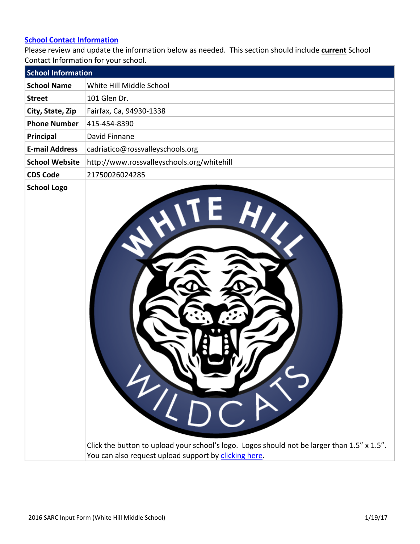#### **[School Contact Information](http://www.doc-tracking.com/screenshots/16SARC/InputFormDataElements/School%2520Contact%2520Information.pdf)**

Please review and update the information below as needed. This section should include **current** School Contact Information for your school.

| <b>School Information</b> |                                            |
|---------------------------|--------------------------------------------|
| <b>School Name</b>        | White Hill Middle School                   |
| <b>Street</b>             | 101 Glen Dr.                               |
| City, State, Zip          | Fairfax, Ca, 94930-1338                    |
| <b>Phone Number</b>       | 415-454-8390                               |
| Principal                 | David Finnane                              |
| <b>E-mail Address</b>     | cadriatico@rossvalleyschools.org           |
| <b>School Website</b>     | http://www.rossvalleyschools.org/whitehill |
| <b>CDS Code</b>           | 21750026024285                             |
| <b>School Logo</b>        | 4/LDCA                                     |

Click the button to upload your school's logo. Logos should not be larger than 1.5" x 1.5". You can also request upload support by [clicking here.](mailto:sarchelp@doc-tracking.com?subject=SARC%2520School%2520Logo%2520Upload%2520Request)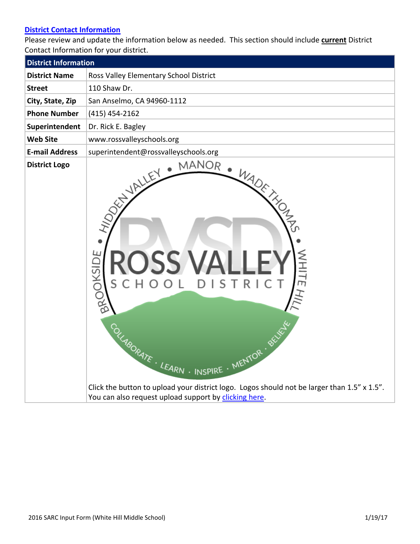## **[District Contact Information](http://www.doc-tracking.com/screenshots/16SARC/InputFormDataElements/District%2520Contact%2520Information.pdf)**

Please review and update the information below as needed. This section should include **current** District Contact Information for your district.

| <b>District Information</b> |                                                                                                                                                                                                                                                      |
|-----------------------------|------------------------------------------------------------------------------------------------------------------------------------------------------------------------------------------------------------------------------------------------------|
| <b>District Name</b>        | Ross Valley Elementary School District                                                                                                                                                                                                               |
| <b>Street</b>               | 110 Shaw Dr.                                                                                                                                                                                                                                         |
| City, State, Zip            | San Anselmo, CA 94960-1112                                                                                                                                                                                                                           |
| <b>Phone Number</b>         | $(415)$ 454-2162                                                                                                                                                                                                                                     |
| Superintendent              | Dr. Rick E. Bagley                                                                                                                                                                                                                                   |
| <b>Web Site</b>             | www.rossvalleyschools.org                                                                                                                                                                                                                            |
| <b>E-mail Address</b>       | superintendent@rossvalleyschools.org                                                                                                                                                                                                                 |
| <b>District Logo</b>        | <b>WHITEH</b><br>CHOOL DISTRIC<br>BROOKSIT<br><b>SUGRATE . LEARN . INSPIRE . MENTOR . BE</b><br>Click the button to upload your district logo. Logos should not be larger than 1.5" x 1.5".<br>You can also request upload support by clicking here. |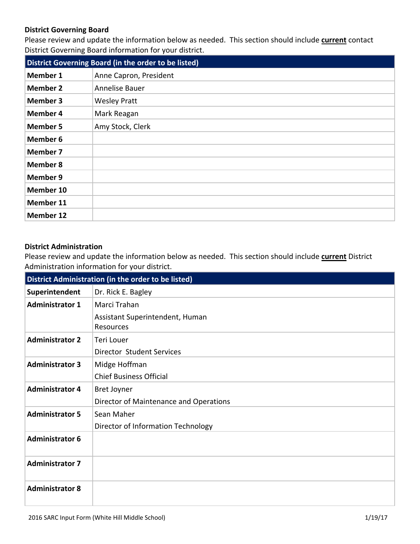### **District Governing Board**

Please review and update the information below as needed. This section should include **current** contact District Governing Board information for your district.

| District Governing Board (in the order to be listed) |                        |  |  |  |
|------------------------------------------------------|------------------------|--|--|--|
| <b>Member 1</b>                                      | Anne Capron, President |  |  |  |
| <b>Member 2</b>                                      | Annelise Bauer         |  |  |  |
| <b>Member 3</b>                                      | <b>Wesley Pratt</b>    |  |  |  |
| <b>Member 4</b>                                      | Mark Reagan            |  |  |  |
| <b>Member 5</b>                                      | Amy Stock, Clerk       |  |  |  |
| <b>Member 6</b>                                      |                        |  |  |  |
| <b>Member 7</b>                                      |                        |  |  |  |
| <b>Member 8</b>                                      |                        |  |  |  |
| <b>Member 9</b>                                      |                        |  |  |  |
| Member 10                                            |                        |  |  |  |
| Member 11                                            |                        |  |  |  |
| <b>Member 12</b>                                     |                        |  |  |  |

#### **District Administration**

Please review and update the information below as needed. This section should include **current** District Administration information for your district.

| District Administration (in the order to be listed) |                                              |  |  |  |
|-----------------------------------------------------|----------------------------------------------|--|--|--|
| Superintendent                                      | Dr. Rick E. Bagley                           |  |  |  |
| <b>Administrator 1</b>                              | Marci Trahan                                 |  |  |  |
|                                                     | Assistant Superintendent, Human<br>Resources |  |  |  |
| <b>Administrator 2</b>                              | <b>Teri Louer</b>                            |  |  |  |
|                                                     | Director Student Services                    |  |  |  |
| <b>Administrator 3</b>                              | Midge Hoffman                                |  |  |  |
|                                                     | <b>Chief Business Official</b>               |  |  |  |
| <b>Administrator 4</b>                              | <b>Bret Joyner</b>                           |  |  |  |
|                                                     | Director of Maintenance and Operations       |  |  |  |
| <b>Administrator 5</b>                              | Sean Maher                                   |  |  |  |
|                                                     | Director of Information Technology           |  |  |  |
| <b>Administrator 6</b>                              |                                              |  |  |  |
| <b>Administrator 7</b>                              |                                              |  |  |  |
| <b>Administrator 8</b>                              |                                              |  |  |  |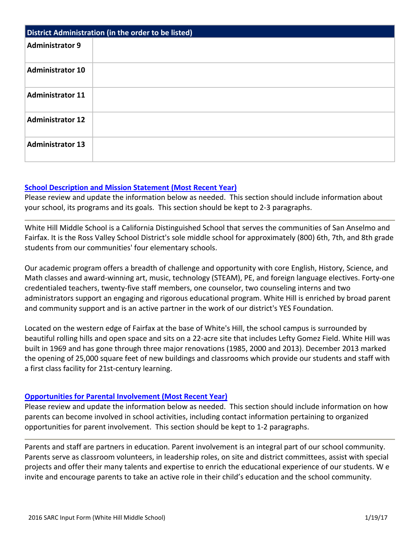| District Administration (in the order to be listed) |  |  |  |  |
|-----------------------------------------------------|--|--|--|--|
| <b>Administrator 9</b>                              |  |  |  |  |
| <b>Administrator 10</b>                             |  |  |  |  |
| <b>Administrator 11</b>                             |  |  |  |  |
| <b>Administrator 12</b>                             |  |  |  |  |
| <b>Administrator 13</b>                             |  |  |  |  |

### **[School Description and Mission Statement \(Most Recent Year\)](http://www.doc-tracking.com/screenshots/16SARC/InputFormDataElements/School%2520Description%2520and%2520Mission%2520Statement.pdf)**

Please review and update the information below as needed. This section should include information about your school, its programs and its goals. This section should be kept to 2-3 paragraphs.

White Hill Middle School is a California Distinguished School that serves the communities of San Anselmo and Fairfax. It is the Ross Valley School District's sole middle school for approximately (800) 6th, 7th, and 8th grade students from our communities' four elementary schools.

Our academic program offers a breadth of challenge and opportunity with core English, History, Science, and Math classes and award-winning art, music, technology (STEAM), PE, and foreign language electives. Forty-one credentialed teachers, twenty-five staff members, one counselor, two counseling interns and two administrators support an engaging and rigorous educational program. White Hill is enriched by broad parent and community support and is an active partner in the work of our district's YES Foundation.

Located on the western edge of Fairfax at the base of White's Hill, the school campus is surrounded by beautiful rolling hills and open space and sits on a 22-acre site that includes Lefty Gomez Field. White Hill was built in 1969 and has gone through three major renovations (1985, 2000 and 2013). December 2013 marked the opening of 25,000 square feet of new buildings and classrooms which provide our students and staff with a first class facility for 21st-century learning.

#### **[Opportunities for Parental Involvement \(Most Recent Year\)](http://www.doc-tracking.com/screenshots/16SARC/InputFormDataElements/Opportunities%2520for%2520Parental%2520Involvement.pdf)**

Please review and update the information below as needed. This section should include information on how parents can become involved in school activities, including contact information pertaining to organized opportunities for parent involvement. This section should be kept to 1-2 paragraphs.

Parents and staff are partners in education. Parent involvement is an integral part of our school community. Parents serve as classroom volunteers, in leadership roles, on site and district committees, assist with special projects and offer their many talents and expertise to enrich the educational experience of our students. W e invite and encourage parents to take an active role in their child's education and the school community.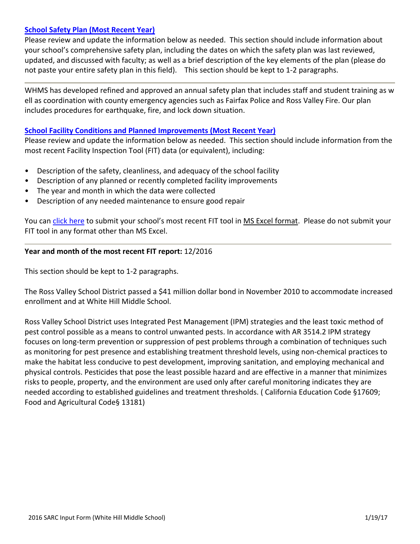## **[School Safety Plan \(Most Recent Year\)](http://www.doc-tracking.com/screenshots/16SARC/InputFormDataElements/School%2520Safety%2520Plan.pdf)**

Please review and update the information below as needed. This section should include information about your school's comprehensive safety plan, including the dates on which the safety plan was last reviewed, updated, and discussed with faculty; as well as a brief description of the key elements of the plan (please do not paste your entire safety plan in this field). This section should be kept to 1-2 paragraphs.

WHMS has developed refined and approved an annual safety plan that includes staff and student training as w ell as coordination with county emergency agencies such as Fairfax Police and Ross Valley Fire. Our plan includes procedures for earthquake, fire, and lock down situation.

#### **[School Facility Conditions and Planned Improvements \(Most Recent Year\)](http://www.doc-tracking.com/screenshots/16SARC/InputFormDataElements/School%2520Facility%2520Conditions%2520and%2520Planned%2520Improvements.pdf)**

Please review and update the information below as needed. This section should include information from the most recent Facility Inspection Tool (FIT) data (or equivalent), including:

- Description of the safety, cleanliness, and adequacy of the school facility
- Description of any planned or recently completed facility improvements
- The year and month in which the data were collected
- Description of any needed maintenance to ensure good repair

You can [click here](mailto:sarchelp@doc-tracking.com?subject=MS%2520Excel%2520FIT%2520Report%2520for%2520Upload%2520to%2520DTS) to submit your school's most recent FIT tool in MS Excel format. Please do not submit your FIT tool in any format other than MS Excel.

#### **Year and month of the most recent FIT report:** 12/2016

This section should be kept to 1-2 paragraphs.

The Ross Valley School District passed a \$41 million dollar bond in November 2010 to accommodate increased enrollment and at White Hill Middle School.

Ross Valley School District uses Integrated Pest Management (IPM) strategies and the least toxic method of pest control possible as a means to control unwanted pests. In accordance with AR 3514.2 IPM strategy focuses on long-term prevention or suppression of pest problems through a combination of techniques such as monitoring for pest presence and establishing treatment threshold levels, using non-chemical practices to make the habitat less conducive to pest development, improving sanitation, and employing mechanical and physical controls. Pesticides that pose the least possible hazard and are effective in a manner that minimizes risks to people, property, and the environment are used only after careful monitoring indicates they are needed according to established guidelines and treatment thresholds. ( California Education Code §17609; Food and Agricultural Code§ 13181)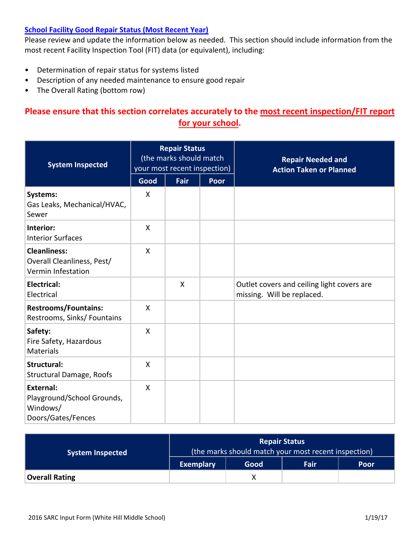## **[School Facility Good Repair Status \(Most Recent Year\)](http://www.doc-tracking.com/screenshots/16SARC/InputFormDataElements/School%2520Facility%2520Good%2520Repair%2520Status.pdf)**

Please review and update the information below as needed. This section should include information from the most recent Facility Inspection Tool (FIT) data (or equivalent), including:

- Determination of repair status for systems listed
- Description of any needed maintenance to ensure good repair
- The Overall Rating (bottom row)

# **Please ensure that this section correlates accurately to the most recent inspection/FIT report for your school.**

| <b>System Inspected</b>                                                          | <b>Repair Status</b><br>(the marks should match<br>your most recent inspection) |      |      | <b>Repair Needed and</b><br><b>Action Taken or Planned</b>               |  |
|----------------------------------------------------------------------------------|---------------------------------------------------------------------------------|------|------|--------------------------------------------------------------------------|--|
|                                                                                  | Good                                                                            | Fair | Poor |                                                                          |  |
| Systems:<br>Gas Leaks, Mechanical/HVAC,<br>Sewer                                 | X                                                                               |      |      |                                                                          |  |
| Interior:<br><b>Interior Surfaces</b>                                            | X                                                                               |      |      |                                                                          |  |
| <b>Cleanliness:</b><br>Overall Cleanliness, Pest/<br>Vermin Infestation          | X                                                                               |      |      |                                                                          |  |
| <b>Electrical:</b><br>Electrical                                                 |                                                                                 | X    |      | Outlet covers and ceiling light covers are<br>missing. Will be replaced. |  |
| <b>Restrooms/Fountains:</b><br>Restrooms, Sinks/ Fountains                       | $\mathsf{X}$                                                                    |      |      |                                                                          |  |
| Safety:<br>Fire Safety, Hazardous<br><b>Materials</b>                            | X                                                                               |      |      |                                                                          |  |
| <b>Structural:</b><br>Structural Damage, Roofs                                   | X                                                                               |      |      |                                                                          |  |
| <b>External:</b><br>Playground/School Grounds,<br>Windows/<br>Doors/Gates/Fences | X                                                                               |      |      |                                                                          |  |

| <b>System Inspected</b> | <b>Repair Status</b><br>(the marks should match your most recent inspection) |      |      |      |  |
|-------------------------|------------------------------------------------------------------------------|------|------|------|--|
|                         | <b>Exemplary</b>                                                             | Good | Fair | Poor |  |
| <b>Overall Rating</b>   |                                                                              | Χ    |      |      |  |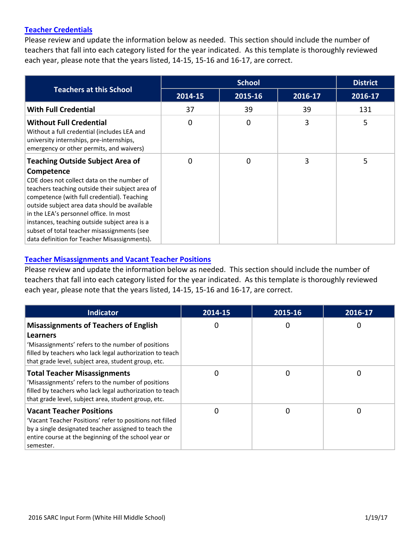### **[Teacher Credentials](http://www.doc-tracking.com/screenshots/16SARC/InputFormDataElements/Teacher%2520Credentials.pdf)**

Please review and update the information below as needed. This section should include the number of teachers that fall into each category listed for the year indicated. As this template is thoroughly reviewed each year, please note that the years listed, 14-15, 15-16 and 16-17, are correct.

|                                                                                                                                                                                                                                                                                                                                                                                                                                                  |         | <b>District</b> |         |         |
|--------------------------------------------------------------------------------------------------------------------------------------------------------------------------------------------------------------------------------------------------------------------------------------------------------------------------------------------------------------------------------------------------------------------------------------------------|---------|-----------------|---------|---------|
| <b>Teachers at this School</b>                                                                                                                                                                                                                                                                                                                                                                                                                   | 2014-15 | 2015-16         | 2016-17 | 2016-17 |
| <b>With Full Credential</b>                                                                                                                                                                                                                                                                                                                                                                                                                      | 37      | 39              | 39      | 131     |
| <b>Without Full Credential</b><br>Without a full credential (includes LEA and<br>university internships, pre-internships,<br>emergency or other permits, and waivers)                                                                                                                                                                                                                                                                            | 0       | 0               | 3       | 5       |
| <b>Teaching Outside Subject Area of</b><br>Competence<br>CDE does not collect data on the number of<br>teachers teaching outside their subject area of<br>competence (with full credential). Teaching<br>outside subject area data should be available<br>in the LEA's personnel office. In most<br>instances, teaching outside subject area is a<br>subset of total teacher misassignments (see<br>data definition for Teacher Misassignments). | 0       | 0               | 3       | 5       |

#### **[Teacher Misassignments and Vacant Teacher Positions](http://www.doc-tracking.com/screenshots/16SARC/InputFormDataElements/Teacher%2520Misassignments%2520and%2520Vacant%2520Teacher%2520Positions.pdf)**

Please review and update the information below as needed. This section should include the number of teachers that fall into each category listed for the year indicated. As this template is thoroughly reviewed each year, please note that the years listed, 14-15, 15-16 and 16-17, are correct.

| <b>Indicator</b>                                                                                                                                                                                                         | 2014-15 | 2015-16 | 2016-17      |
|--------------------------------------------------------------------------------------------------------------------------------------------------------------------------------------------------------------------------|---------|---------|--------------|
| <b>Misassignments of Teachers of English</b>                                                                                                                                                                             | 0       | O       | $\mathbf{0}$ |
| Learners<br>'Misassignments' refers to the number of positions<br>filled by teachers who lack legal authorization to teach<br>that grade level, subject area, student group, etc.                                        |         |         |              |
| <b>Total Teacher Misassignments</b><br>'Misassignments' refers to the number of positions<br>filled by teachers who lack legal authorization to teach<br>that grade level, subject area, student group, etc.             | 0       | O       |              |
| <b>Vacant Teacher Positions</b><br>'Vacant Teacher Positions' refer to positions not filled<br>by a single designated teacher assigned to teach the<br>entire course at the beginning of the school year or<br>semester. | 0       |         |              |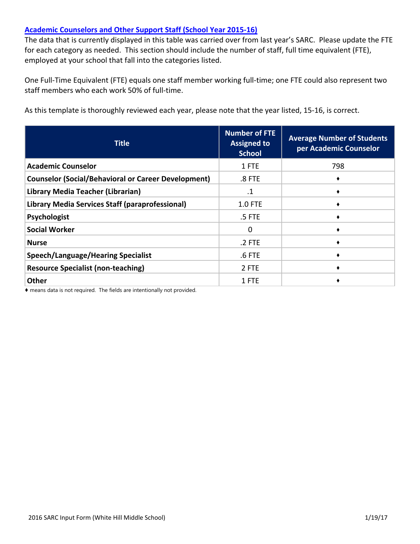### **[Academic Counselors and Other Support Staff \(School Year 2015-16\)](http://www.doc-tracking.com/screenshots/16SARC/InputFormDataElements/Academic%2520Counselors%2520and%2520Other%2520Support%2520Staff.pdf)**

The data that is currently displayed in this table was carried over from last year's SARC. Please update the FTE for each category as needed. This section should include the number of staff, full time equivalent (FTE), employed at your school that fall into the categories listed.

One Full-Time Equivalent (FTE) equals one staff member working full-time; one FTE could also represent two staff members who each work 50% of full-time.

As this template is thoroughly reviewed each year, please note that the year listed, 15-16, is correct.

| <b>Title</b>                                               | <b>Number of FTE</b><br><b>Assigned to</b><br><b>School</b> | <b>Average Number of Students</b><br>per Academic Counselor |
|------------------------------------------------------------|-------------------------------------------------------------|-------------------------------------------------------------|
| <b>Academic Counselor</b>                                  | 1 FTE                                                       | 798                                                         |
| <b>Counselor (Social/Behavioral or Career Development)</b> | $.8$ FTE                                                    |                                                             |
| Library Media Teacher (Librarian)                          | $\cdot$ 1                                                   |                                                             |
| Library Media Services Staff (paraprofessional)            | <b>1.0 FTE</b>                                              |                                                             |
| Psychologist                                               | .5 FTE                                                      |                                                             |
| <b>Social Worker</b>                                       | 0                                                           |                                                             |
| <b>Nurse</b>                                               | .2 FTE                                                      |                                                             |
| <b>Speech/Language/Hearing Specialist</b>                  | $.6$ FTE                                                    |                                                             |
| <b>Resource Specialist (non-teaching)</b>                  | 2 FTE                                                       |                                                             |
| <b>Other</b>                                               | 1 FTE                                                       |                                                             |

♦ means data is not required. The fields are intentionally not provided.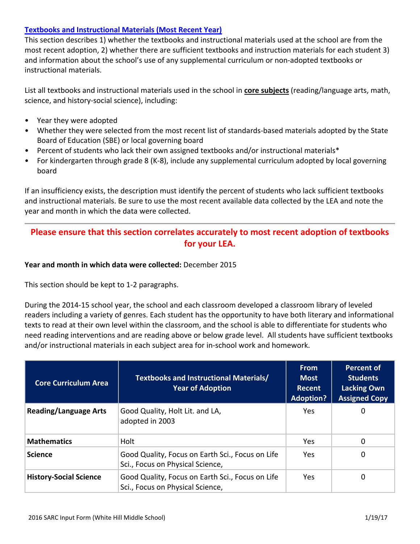## **[Textbooks and Instructional Materials \(Most Recent Year\)](http://www.doc-tracking.com/screenshots/16SARC/InputFormDataElements/Textbooks%2520and%2520Instructional%2520Materials.pdf)**

This section describes 1) whether the textbooks and instructional materials used at the school are from the most recent adoption, 2) whether there are sufficient textbooks and instruction materials for each student 3) and information about the school's use of any supplemental curriculum or non-adopted textbooks or instructional materials.

List all textbooks and instructional materials used in the school in **core subjects** (reading/language arts, math, science, and history-social science), including:

- Year they were adopted
- Whether they were selected from the most recent list of standards-based materials adopted by the State Board of Education (SBE) or local governing board
- Percent of students who lack their own assigned textbooks and/or instructional materials\*
- For kindergarten through grade 8 (K-8), include any supplemental curriculum adopted by local governing board

If an insufficiency exists, the description must identify the percent of students who lack sufficient textbooks and instructional materials. Be sure to use the most recent available data collected by the LEA and note the year and month in which the data were collected.

## **Please ensure that this section correlates accurately to most recent adoption of textbooks for your LEA.**

#### **Year and month in which data were collected:** December 2015

This section should be kept to 1-2 paragraphs.

During the 2014-15 school year, the school and each classroom developed a classroom library of leveled readers including a variety of genres. Each student has the opportunity to have both literary and informational texts to read at their own level within the classroom, and the school is able to differentiate for students who need reading interventions and are reading above or below grade level. All students have sufficient textbooks and/or instructional materials in each subject area for in-school work and homework.

| <b>Core Curriculum Area</b>   | <b>Textbooks and Instructional Materials/</b><br><b>Year of Adoption</b>             | <b>From</b><br><b>Most</b><br>Recent<br><b>Adoption?</b> | <b>Percent of</b><br><b>Students</b><br><b>Lacking Own</b><br><b>Assigned Copy</b> |
|-------------------------------|--------------------------------------------------------------------------------------|----------------------------------------------------------|------------------------------------------------------------------------------------|
| <b>Reading/Language Arts</b>  | Good Quality, Holt Lit. and LA,<br>adopted in 2003                                   | <b>Yes</b>                                               | 0                                                                                  |
| <b>Mathematics</b>            | Holt                                                                                 | <b>Yes</b>                                               | 0                                                                                  |
| <b>Science</b>                | Good Quality, Focus on Earth Sci., Focus on Life<br>Sci., Focus on Physical Science, | Yes                                                      | 0                                                                                  |
| <b>History-Social Science</b> | Good Quality, Focus on Earth Sci., Focus on Life<br>Sci., Focus on Physical Science, | Yes.                                                     | 0                                                                                  |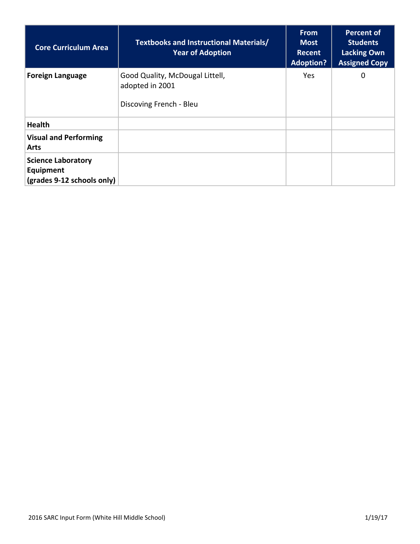| <b>Core Curriculum Area</b>                                          | <b>Textbooks and Instructional Materials/</b><br><b>Year of Adoption</b>      | <b>From</b><br><b>Most</b><br>Recent<br><b>Adoption?</b> | <b>Percent of</b><br><b>Students</b><br><b>Lacking Own</b><br><b>Assigned Copy</b> |
|----------------------------------------------------------------------|-------------------------------------------------------------------------------|----------------------------------------------------------|------------------------------------------------------------------------------------|
| <b>Foreign Language</b>                                              | Good Quality, McDougal Littell,<br>adopted in 2001<br>Discoving French - Bleu | <b>Yes</b>                                               | 0                                                                                  |
| <b>Health</b>                                                        |                                                                               |                                                          |                                                                                    |
| <b>Visual and Performing</b><br><b>Arts</b>                          |                                                                               |                                                          |                                                                                    |
| <b>Science Laboratory</b><br>Equipment<br>(grades 9-12 schools only) |                                                                               |                                                          |                                                                                    |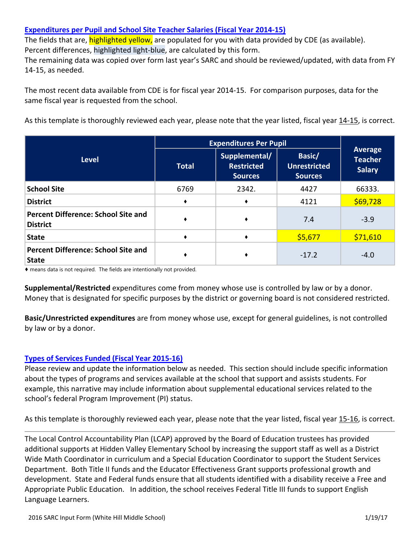## **[Expenditures per Pupil and School Site Teacher Salaries \(Fiscal Year 2014-15\)](http://www.doc-tracking.com/screenshots/16SARC/InputFormDataElements/Expenditures%2520per%2520Pupil%2520and%2520School%2520Site%2520Teacher%2520Salaries.pdf)**

The fields that are, **highlighted yellow,** are populated for you with data provided by CDE (as available). Percent differences, highlighted light-blue, are calculated by this form.

The remaining data was copied over form last year's SARC and should be reviewed/updated, with data from FY 14-15, as needed.

The most recent data available from CDE is for fiscal year 2014-15. For comparison purposes, data for the same fiscal year is requested from the school.

As this template is thoroughly reviewed each year, please note that the year listed, fiscal year 14-15, is correct.

|                                                               | <b>Expenditures Per Pupil</b> |                                                                                                         |         |                                                   |  |
|---------------------------------------------------------------|-------------------------------|---------------------------------------------------------------------------------------------------------|---------|---------------------------------------------------|--|
| <b>Level</b>                                                  | <b>Total</b>                  | Supplemental/<br>Basic/<br><b>Restricted</b><br><b>Unrestricted</b><br><b>Sources</b><br><b>Sources</b> |         | <b>Average</b><br><b>Teacher</b><br><b>Salary</b> |  |
| <b>School Site</b>                                            | 6769                          | 2342.                                                                                                   | 4427    | 66333.                                            |  |
| <b>District</b>                                               | ٠                             |                                                                                                         | 4121    | \$69,728                                          |  |
| <b>Percent Difference: School Site and</b><br><b>District</b> |                               |                                                                                                         | 7.4     | $-3.9$                                            |  |
| <b>State</b>                                                  | ٠                             |                                                                                                         | \$5,677 | \$71,610                                          |  |
| Percent Difference: School Site and<br><b>State</b>           |                               |                                                                                                         | $-17.2$ | $-4.0$                                            |  |

♦ means data is not required. The fields are intentionally not provided.

**Supplemental/Restricted** expenditures come from money whose use is controlled by law or by a donor. Money that is designated for specific purposes by the district or governing board is not considered restricted.

**Basic/Unrestricted expenditures** are from money whose use, except for general guidelines, is not controlled by law or by a donor.

## **[Types of Services Funded \(Fiscal Year 2015-16\)](http://www.doc-tracking.com/screenshots/16SARC/InputFormDataElements/Types%2520of%2520Services%2520Funded.pdf)**

Please review and update the information below as needed. This section should include specific information about the types of programs and services available at the school that support and assists students. For example, this narrative may include information about supplemental educational services related to the school's federal Program Improvement (PI) status.

As this template is thoroughly reviewed each year, please note that the year listed, fiscal year 15-16, is correct.

The Local Control Accountability Plan (LCAP) approved by the Board of Education trustees has provided additional supports at Hidden Valley Elementary School by increasing the support staff as well as a District Wide Math Coordinator in curriculum and a Special Education Coordinator to support the Student Services Department. Both Title II funds and the Educator Effectiveness Grant supports professional growth and development. State and Federal funds ensure that all students identified with a disability receive a Free and Appropriate Public Education. In addition, the school receives Federal Title III funds to support English Language Learners.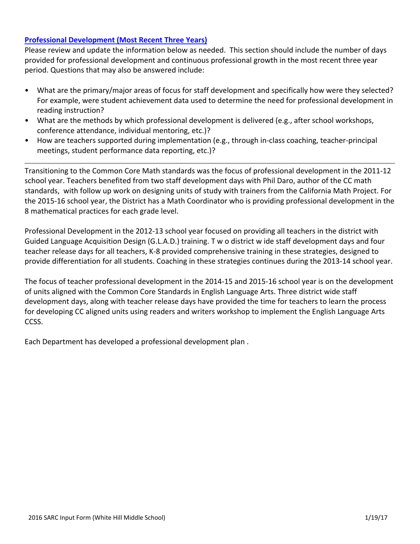#### **[Professional Development \(Most Recent Three Years\)](http://www.doc-tracking.com/screenshots/16SARC/InputFormDataElements/Professional%2520Development.pdf)**

Please review and update the information below as needed. This section should include the number of days provided for professional development and continuous professional growth in the most recent three year period. Questions that may also be answered include:

- What are the primary/major areas of focus for staff development and specifically how were they selected? For example, were student achievement data used to determine the need for professional development in reading instruction?
- What are the methods by which professional development is delivered (e.g., after school workshops, conference attendance, individual mentoring, etc.)?
- How are teachers supported during implementation (e.g., through in-class coaching, teacher-principal meetings, student performance data reporting, etc.)?

Transitioning to the Common Core Math standards was the focus of professional development in the 2011-12 school year. Teachers benefited from two staff development days with Phil Daro, author of the CC math standards, with follow up work on designing units of study with trainers from the California Math Project. For the 2015-16 school year, the District has a Math Coordinator who is providing professional development in the 8 mathematical practices for each grade level.

Professional Development in the 2012-13 school year focused on providing all teachers in the district with Guided Language Acquisition Design (G.L.A.D.) training. T w o district w ide staff development days and four teacher release days for all teachers, K-8 provided comprehensive training in these strategies, designed to provide differentiation for all students. Coaching in these strategies continues during the 2013-14 school year.

The focus of teacher professional development in the 2014-15 and 2015-16 school year is on the development of units aligned with the Common Core Standards in English Language Arts. Three district wide staff development days, along with teacher release days have provided the time for teachers to learn the process for developing CC aligned units using readers and writers workshop to implement the English Language Arts CCSS.

Each Department has developed a professional development plan .